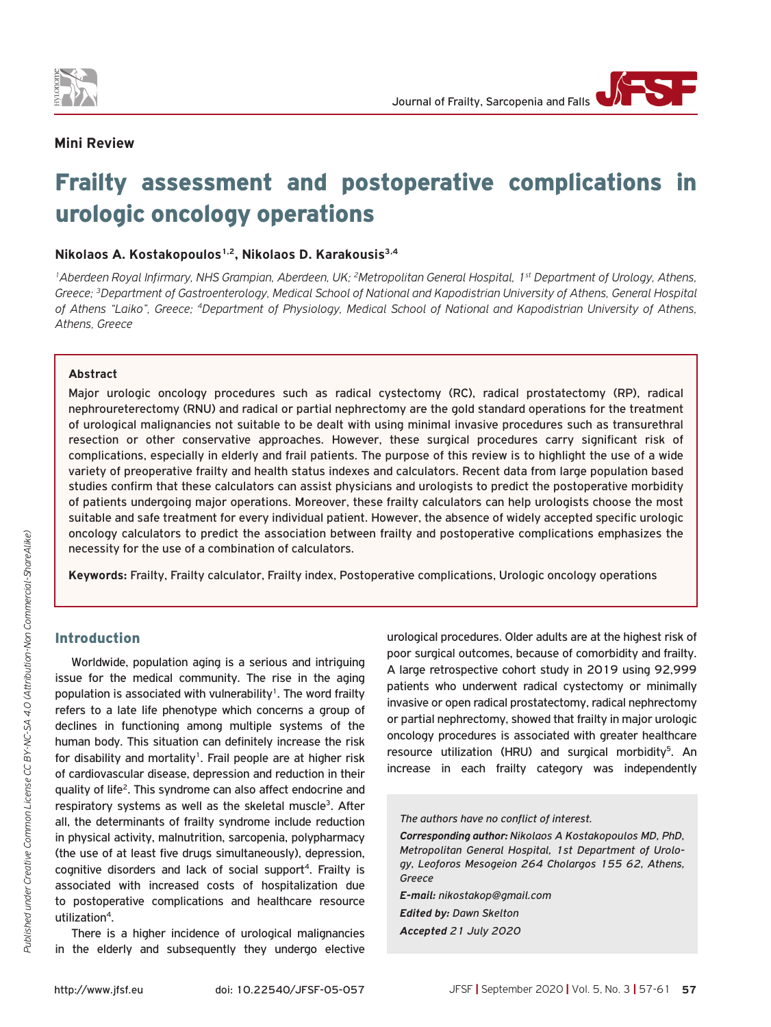

# **Mini Review**

# Frailty assessment and postoperative complications in urologic oncology operations

### **Nikolaos A. Kostakopoulos1,2, Nikolaos D. Karakousis3,4**

*1Aberdeen Royal Infirmary, NHS Grampian, Aberdeen, UK; 2Metropolitan General Hospital, 1st Department of Urology, Athens, Greece; 3Department of Gastroenterology, Medical School of National and Kapodistrian University of Athens, General Hospital of Athens "Laiko", Greece; 4Department of Physiology, Medical School of National and Kapodistrian University of Athens, Athens, Greece*

#### **Abstract**

Major urologic oncology procedures such as radical cystectomy (RC), radical prostatectomy (RP), radical nephroureterectomy (RNU) and radical or partial nephrectomy are the gold standard operations for the treatment of urological malignancies not suitable to be dealt with using minimal invasive procedures such as transurethral resection or other conservative approaches. However, these surgical procedures carry significant risk of complications, especially in elderly and frail patients. The purpose of this review is to highlight the use of a wide variety of preoperative frailty and health status indexes and calculators. Recent data from large population based studies confirm that these calculators can assist physicians and urologists to predict the postoperative morbidity of patients undergoing major operations. Moreover, these frailty calculators can help urologists choose the most suitable and safe treatment for every individual patient. However, the absence of widely accepted specific urologic oncology calculators to predict the association between frailty and postoperative complications emphasizes the necessity for the use of a combination of calculators.

**Keywords:** Frailty, Frailty calculator, Frailty index, Postoperative complications, Urologic oncology operations

# Introduction

Worldwide, population aging is a serious and intriguing issue for the medical community. The rise in the aging population is associated with vulnerability<sup>1</sup>. The word frailty refers to a late life phenotype which concerns a group of declines in functioning among multiple systems of the human body. This situation can definitely increase the risk for disability and mortality<sup>1</sup>. Frail people are at higher risk of cardiovascular disease, depression and reduction in their quality of life2. This syndrome can also affect endocrine and respiratory systems as well as the skeletal muscle<sup>3</sup>. After all, the determinants of frailty syndrome include reduction in physical activity, malnutrition, sarcopenia, polypharmacy (the use of at least five drugs simultaneously), depression, cognitive disorders and lack of social support<sup>4</sup>. Frailty is associated with increased costs of hospitalization due to postoperative complications and healthcare resource utilization<sup>4</sup>.

There is a higher incidence of urological malignancies in the elderly and subsequently they undergo elective

urological procedures. Older adults are at the highest risk of poor surgical outcomes, because of comorbidity and frailty. A large retrospective cohort study in 2019 using 92,999 patients who underwent radical cystectomy or minimally invasive or open radical prostatectomy, radical nephrectomy or partial nephrectomy, showed that frailty in major urologic oncology procedures is associated with greater healthcare resource utilization (HRU) and surgical morbidity<sup>5</sup>. An increase in each frailty category was independently

#### *The authors have no conflict of interest.*

*Corresponding author: Nikolaos A Kostakopoulos MD, PhD, Metropolitan General Hospital, 1st Department of Urology, Leoforos Mesogeion 264 Cholargos 155 62, Athens, Greece*

*E-mail: nikostakop@gmail.com Edited by: Dawn Skelton Accepted 21 July 2020*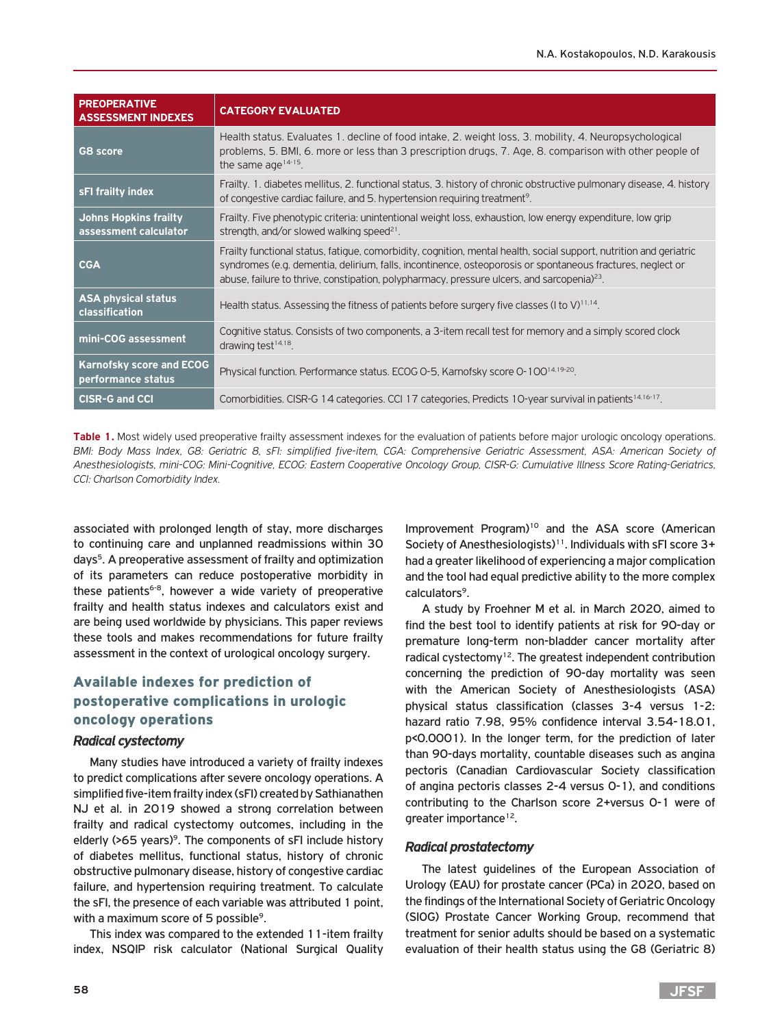| <b>PREOPERATIVE</b><br><b>ASSESSMENT INDEXES</b>      | <b>CATEGORY EVALUATED</b>                                                                                                                                                                                                                                                                                                            |
|-------------------------------------------------------|--------------------------------------------------------------------------------------------------------------------------------------------------------------------------------------------------------------------------------------------------------------------------------------------------------------------------------------|
| G8 score                                              | Health status. Evaluates 1. decline of food intake, 2. weight loss, 3. mobility, 4. Neuropsychological<br>problems, 5. BMI, 6. more or less than 3 prescription drugs, 7. Age, 8. comparison with other people of<br>the same age $14-15$ .                                                                                          |
| sFI frailty index                                     | Frailty. 1. diabetes mellitus, 2. functional status, 3. history of chronic obstructive pulmonary disease, 4. history<br>of congestive cardiac failure, and 5. hypertension requiring treatment <sup>9</sup> .                                                                                                                        |
| <b>Johns Hopkins frailty</b><br>assessment calculator | Frailty. Five phenotypic criteria: unintentional weight loss, exhaustion, low energy expenditure, low grip<br>strength, and/or slowed walking speed <sup>21</sup> .                                                                                                                                                                  |
| <b>CGA</b>                                            | Frailty functional status, fatique, comorbidity, cognition, mental health, social support, nutrition and geriatric<br>syndromes (e.g. dementia, delirium, falls, incontinence, osteoporosis or spontaneous fractures, neglect or<br>abuse, failure to thrive, constipation, polypharmacy, pressure ulcers, and sarcopenia $)^{23}$ . |
| <b>ASA physical status</b><br><b>classification</b>   | Health status. Assessing the fitness of patients before surgery five classes ( $\frac{1}{10}$ to $\frac{1}{10}$ ) <sup>11.14</sup> .                                                                                                                                                                                                 |
| mini-COG assessment                                   | Cognitive status. Consists of two components, a 3-item recall test for memory and a simply scored clock<br>drawing test $14.18$ .                                                                                                                                                                                                    |
| <b>Karnofsky score and ECOG</b><br>performance status | Physical function. Performance status. ECOG O-5, Karnofsky score O-100 <sup>14,19-20</sup> .                                                                                                                                                                                                                                         |
| <b>CISR-G and CCI</b>                                 | Comorbidities. CISR-G 14 categories. CCI 17 categories. Predicts 10-year survival in patients <sup>14.16-17</sup> .                                                                                                                                                                                                                  |

Table 1. Most widely used preoperative frailty assessment indexes for the evaluation of patients before major urologic oncology operations. *BMI: Body Mass Index, G8: Geriatric 8, sFI: simplified five-item, CGA: Comprehensive Geriatric Assessment, ASA: American Society of Anesthesiologists, mini-COG: Mini-Cognitive, ECOG: Eastern Cooperative Oncology Group, CISR-G: Cumulative Illness Score Rating-Geriatrics, CCI: Charlson Comorbidity Index.*

associated with prolonged length of stay, more discharges to continuing care and unplanned readmissions within 30 days5. A preoperative assessment of frailty and optimization of its parameters can reduce postoperative morbidity in these patients<sup>6-8</sup>, however a wide variety of preoperative frailty and health status indexes and calculators exist and are being used worldwide by physicians. This paper reviews these tools and makes recommendations for future frailty assessment in the context of urological oncology surgery.

# Available indexes for prediction of postoperative complications in urologic oncology operations

#### *Radical cystectomy*

Many studies have introduced a variety of frailty indexes to predict complications after severe oncology operations. A simplified five-item frailty index (sFI) created by Sathianathen NJ et al. in 2019 showed a strong correlation between frailty and radical cystectomy outcomes, including in the elderly  $(565 \text{ years})^9$ . The components of sFI include history of diabetes mellitus, functional status, history of chronic obstructive pulmonary disease, history of congestive cardiac failure, and hypertension requiring treatment. To calculate the sFI, the presence of each variable was attributed 1 point, with a maximum score of 5 possible<sup>9</sup>.

This index was compared to the extended 11-item frailty index, NSQIP risk calculator (National Surgical Quality

Improvement Program)<sup>10</sup> and the ASA score (American Society of Anesthesiologists)<sup>11</sup>. Individuals with sFI score 3+ had a greater likelihood of experiencing a major complication and the tool had equal predictive ability to the more complex calculators<sup>9</sup>.

A study by Froehner M et al. in March 2020, aimed to find the best tool to identify patients at risk for 90-day or premature long-term non-bladder cancer mortality after radical cystectomy<sup>12</sup>. The greatest independent contribution concerning the prediction of 90-day mortality was seen with the American Society of Anesthesiologists (ASA) physical status classification (classes 3-4 versus 1-2: hazard ratio 7.98, 95% confidence interval 3.54-18.01, p<0.0001). In the longer term, for the prediction of later than 90-days mortality, countable diseases such as angina pectoris (Canadian Cardiovascular Society classification of angina pectoris classes 2-4 versus 0-1), and conditions contributing to the Charlson score 2+versus 0-1 were of greater importance<sup>12</sup>.

# *Radical prostatectomy*

The latest guidelines of the European Association of Urology (EAU) for prostate cancer (PCa) in 2020, based on the findings of the International Society of Geriatric Oncology (SIOG) Prostate Cancer Working Group, recommend that treatment for senior adults should be based on a systematic evaluation of their health status using the G8 (Geriatric 8)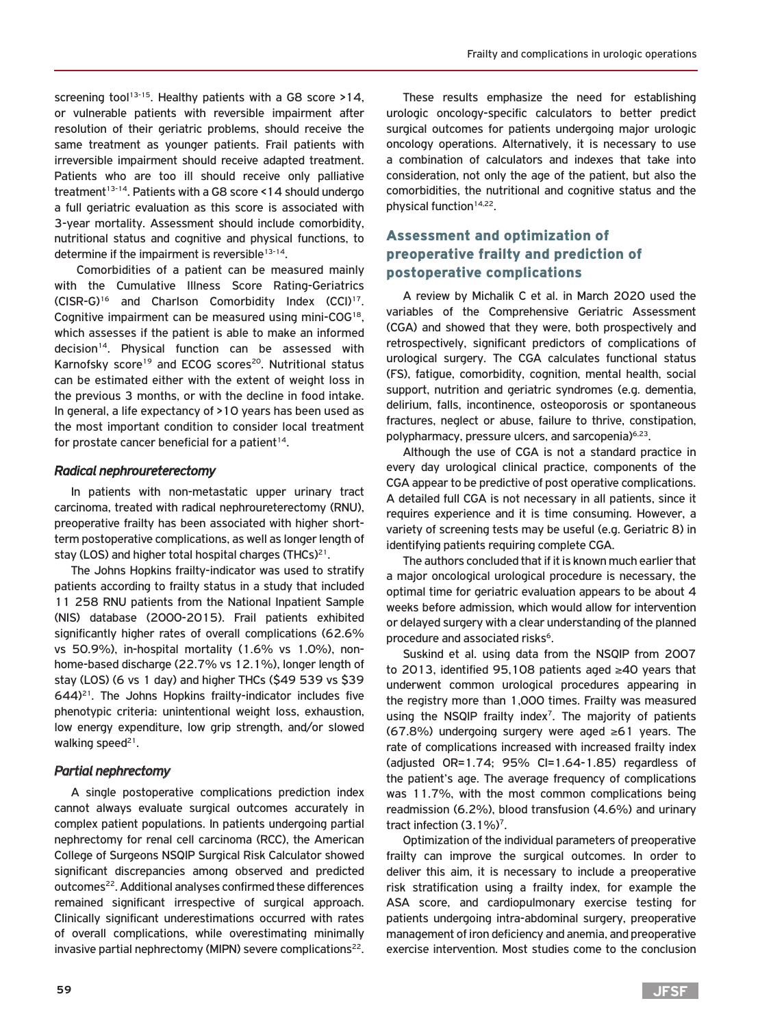screening tool<sup>13-15</sup>. Healthy patients with a G8 score >14, or vulnerable patients with reversible impairment after resolution of their geriatric problems, should receive the same treatment as younger patients. Frail patients with irreversible impairment should receive adapted treatment. Patients who are too ill should receive only palliative treatment<sup>13-14</sup>. Patients with a G8 score <14 should undergo a full geriatric evaluation as this score is associated with 3-year mortality. Assessment should include comorbidity, nutritional status and cognitive and physical functions, to determine if the impairment is reversible<sup>13-14</sup>.

 Comorbidities of a patient can be measured mainly with the Cumulative Illness Score Rating-Geriatrics (CISR-G)16 and Charlson Comorbidity Index (CCI)17. Cognitive impairment can be measured using mini-COG<sup>18</sup>. which assesses if the patient is able to make an informed decision<sup>14</sup>. Physical function can be assessed with Karnofsky score<sup>19</sup> and ECOG scores<sup>20</sup>. Nutritional status can be estimated either with the extent of weight loss in the previous 3 months, or with the decline in food intake. In general, a life expectancy of >10 years has been used as the most important condition to consider local treatment for prostate cancer beneficial for a patient $14$ .

# *Radical nephroureterectomy*

In patients with non-metastatic upper urinary tract carcinoma, treated with radical nephroureterectomy (RNU), preoperative frailty has been associated with higher shortterm postoperative complications, as well as longer length of stay (LOS) and higher total hospital charges (THCs) $^{21}$ .

The Johns Hopkins frailty-indicator was used to stratify patients according to frailty status in a study that included 11 258 RNU patients from the National Inpatient Sample (NIS) database (2000-2015). Frail patients exhibited significantly higher rates of overall complications (62.6% vs 50.9%), in-hospital mortality (1.6% vs 1.0%), nonhome-based discharge (22.7% vs 12.1%), longer length of stay (LOS) (6 vs 1 day) and higher THCs (\$49 539 vs \$39  $644$ <sup>21</sup>. The Johns Hopkins frailty-indicator includes five phenotypic criteria: unintentional weight loss, exhaustion, low energy expenditure, low grip strength, and/or slowed walking speed<sup>21</sup>.

# *Partial nephrectomy*

A single postoperative complications prediction index cannot always evaluate surgical outcomes accurately in complex patient populations. In patients undergoing partial nephrectomy for renal cell carcinoma (RCC), the American College of Surgeons NSQIP Surgical Risk Calculator showed significant discrepancies among observed and predicted outcomes<sup>22</sup>. Additional analyses confirmed these differences remained significant irrespective of surgical approach. Clinically significant underestimations occurred with rates of overall complications, while overestimating minimally invasive partial nephrectomy (MIPN) severe complications<sup>22</sup>.

These results emphasize the need for establishing urologic oncology-specific calculators to better predict surgical outcomes for patients undergoing major urologic oncology operations. Alternatively, it is necessary to use a combination of calculators and indexes that take into consideration, not only the age of the patient, but also the comorbidities, the nutritional and cognitive status and the physical function<sup>14,22</sup>.

# Assessment and optimization of preoperative frailty and prediction of postoperative complications

A review by Michalik C et al. in March 2020 used the variables of the Comprehensive Geriatric Assessment (CGA) and showed that they were, both prospectively and retrospectively, significant predictors of complications of urological surgery. The CGA calculates functional status (FS), fatigue, comorbidity, cognition, mental health, social support, nutrition and geriatric syndromes (e.g. dementia, delirium, falls, incontinence, osteoporosis or spontaneous fractures, neglect or abuse, failure to thrive, constipation, polypharmacy, pressure ulcers, and sarcopenia)<sup>6,23</sup>.

Although the use of CGA is not a standard practice in every day urological clinical practice, components of the CGA appear to be predictive of post operative complications. A detailed full CGA is not necessary in all patients, since it requires experience and it is time consuming. However, a variety of screening tests may be useful (e.g. Geriatric 8) in identifying patients requiring complete CGA.

The authors concluded that if it is known much earlier that a major oncological urological procedure is necessary, the optimal time for geriatric evaluation appears to be about 4 weeks before admission, which would allow for intervention or delayed surgery with a clear understanding of the planned procedure and associated risks<sup>6</sup>.

Suskind et al. using data from the NSQIP from 2007 to 2013, identified 95,108 patients aged ≥40 years that underwent common urological procedures appearing in the registry more than 1,000 times. Frailty was measured using the NSQIP frailty index<sup>7</sup>. The majority of patients (67.8%) undergoing surgery were aged ≥61 years. The rate of complications increased with increased frailty index (adjusted OR=1.74; 95% CI=1.64-1.85) regardless of the patient's age. The average frequency of complications was 11.7%, with the most common complications being readmission (6.2%), blood transfusion (4.6%) and urinary tract infection (3.1%)<sup>7</sup>.

Optimization of the individual parameters of preoperative frailty can improve the surgical outcomes. In order to deliver this aim, it is necessary to include a preoperative risk stratification using a frailty index, for example the ASA score, and cardiopulmonary exercise testing for patients undergoing intra-abdominal surgery, preoperative management of iron deficiency and anemia, and preoperative exercise intervention. Most studies come to the conclusion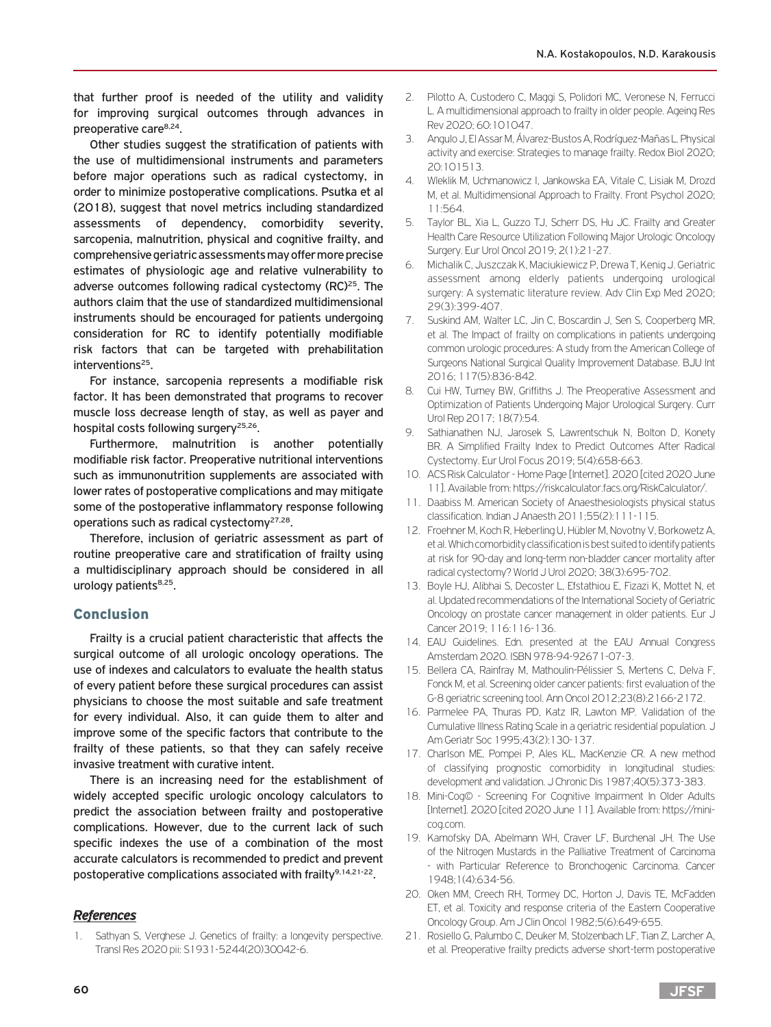that further proof is needed of the utility and validity for improving surgical outcomes through advances in preoperative care8,24.

Other studies suggest the stratification of patients with the use of multidimensional instruments and parameters before major operations such as radical cystectomy, in order to minimize postoperative complications. Psutka et al (2018), suggest that novel metrics including standardized assessments of dependency, comorbidity severity, sarcopenia, malnutrition, physical and cognitive frailty, and comprehensive geriatric assessments may offer more precise estimates of physiologic age and relative vulnerability to adverse outcomes following radical cystectomy (RC)<sup>25</sup>. The authors claim that the use of standardized multidimensional instruments should be encouraged for patients undergoing consideration for RC to identify potentially modifiable risk factors that can be targeted with prehabilitation interventions<sup>25</sup>.

For instance, sarcopenia represents a modifiable risk factor. It has been demonstrated that programs to recover muscle loss decrease length of stay, as well as payer and hospital costs following surgery<sup>25,26</sup>.

Furthermore, malnutrition is another potentially modifiable risk factor. Preoperative nutritional interventions such as immunonutrition supplements are associated with lower rates of postoperative complications and may mitigate some of the postoperative inflammatory response following operations such as radical cystectomy27,28.

Therefore, inclusion of geriatric assessment as part of routine preoperative care and stratification of frailty using a multidisciplinary approach should be considered in all urology patients $8,25$ .

# Conclusion

Frailty is a crucial patient characteristic that affects the surgical outcome of all urologic oncology operations. The use of indexes and calculators to evaluate the health status of every patient before these surgical procedures can assist physicians to choose the most suitable and safe treatment for every individual. Also, it can guide them to alter and improve some of the specific factors that contribute to the frailty of these patients, so that they can safely receive invasive treatment with curative intent.

There is an increasing need for the establishment of widely accepted specific urologic oncology calculators to predict the association between frailty and postoperative complications. However, due to the current lack of such specific indexes the use of a combination of the most accurate calculators is recommended to predict and prevent postoperative complications associated with frailty<sup>9,14,21-22</sup>.

#### *References*

1. Sathyan S, Verghese J. Genetics of frailty: a longevity perspective. Transl Res 2020 pii: S1931-5244(20)30042-6.

- 2. Pilotto A, Custodero C, Maggi S, Polidori MC, Veronese N, Ferrucci L. A multidimensional approach to frailty in older people. Ageing Res Rev 2020; 60:101047.
- 3. Angulo J, El Assar M, Álvarez-Bustos A, Rodríguez-Mañas L. Physical activity and exercise: Strategies to manage frailty. Redox Biol 2020; 20:101513.
- 4. Wleklik M, Uchmanowicz I, Jankowska EA, Vitale C, Lisiak M, Drozd M, et al. Multidimensional Approach to Frailty. Front Psychol 2020; 11:564.
- 5. Taylor BL, Xia L, Guzzo TJ, Scherr DS, Hu JC. Frailty and Greater Health Care Resource Utilization Following Major Urologic Oncology Surgery. Eur Urol Oncol 2019; 2(1):21-27.
- 6. Michalik C, Juszczak K, Maciukiewicz P, Drewa T, Kenig J. Geriatric assessment among elderly patients undergoing urological surgery: A systematic literature review. Adv Clin Exp Med 2020; 29(3):399-407.
- 7. Suskind AM, Walter LC, Jin C, Boscardin J, Sen S, Cooperberg MR, et al. The Impact of frailty on complications in patients undergoing common urologic procedures: A study from the American College of Surgeons National Surgical Quality Improvement Database. BJU Int 2016; 117(5):836-842.
- 8. Cui HW, Turney BW, Griffiths J. The Preoperative Assessment and Optimization of Patients Undergoing Major Urological Surgery. Curr Urol Rep 2017; 18(7):54.
- 9. Sathianathen NJ, Jarosek S, Lawrentschuk N, Bolton D, Konety BR. A Simplified Frailty Index to Predict Outcomes After Radical Cystectomy. Eur Urol Focus 2019; 5(4):658-663.
- 10. ACS Risk Calculator Home Page [Internet]. 2020 [cited 2020 June 11]. Available from: https://riskcalculator.facs.org/RiskCalculator/.
- 11. Daabiss M. American Society of Anaesthesiologists physical status classification. Indian J Anaesth 2011;55(2):111-115.
- 12. Froehner M, Koch R, Heberling U, Hübler M, Novotny V, Borkowetz A, et al. Which comorbidity classification is best suited to identify patients at risk for 90-day and long-term non-bladder cancer mortality after radical cystectomy? World J Urol 2020; 38(3):695-702.
- 13. Boyle HJ, Alibhai S, Decoster L, Efstathiou E, Fizazi K, Mottet N, et al. Updated recommendations of the International Society of Geriatric Oncology on prostate cancer management in older patients. Eur J Cancer 2019; 116:116-136.
- 14. EAU Guidelines. Edn. presented at the EAU Annual Congress Amsterdam 2020. ISBN 978-94-92671-07-3.
- 15. Bellera CA, Rainfray M, Mathoulin-Pélissier S, Mertens C, Delva F, Fonck M, et al. Screening older cancer patients: first evaluation of the G-8 geriatric screening tool. Ann Oncol 2012;23(8):2166-2172.
- 16. Parmelee PA, Thuras PD, Katz IR, Lawton MP. Validation of the Cumulative Illness Rating Scale in a geriatric residential population. J Am Geriatr Soc 1995;43(2):130-137.
- 17. Charlson ME, Pompei P, Ales KL, MacKenzie CR. A new method of classifying prognostic comorbidity in longitudinal studies: development and validation. J Chronic Dis 1987;40(5):373-383.
- 18. Mini-Cog© Screening For Cognitive Impairment In Older Adults [Internet]. 2020 [cited 2020 June 11]. Available from: https://minicog.com.
- 19. Karnofsky DA, Abelmann WH, Craver LF, Burchenal JH. The Use of the Nitrogen Mustards in the Palliative Treatment of Carcinoma - with Particular Reference to Bronchogenic Carcinoma. Cancer 1948;1(4):634-56.
- 20. Oken MM, Creech RH, Tormey DC, Horton J, Davis TE, McFadden ET, et al. Toxicity and response criteria of the Eastern Cooperative Oncology Group. Am J Clin Oncol 1982;5(6):649-655.
- 21. Rosiello G, Palumbo C, Deuker M, Stolzenbach LF, Tian Z, Larcher A, et al. Preoperative frailty predicts adverse short-term postoperative